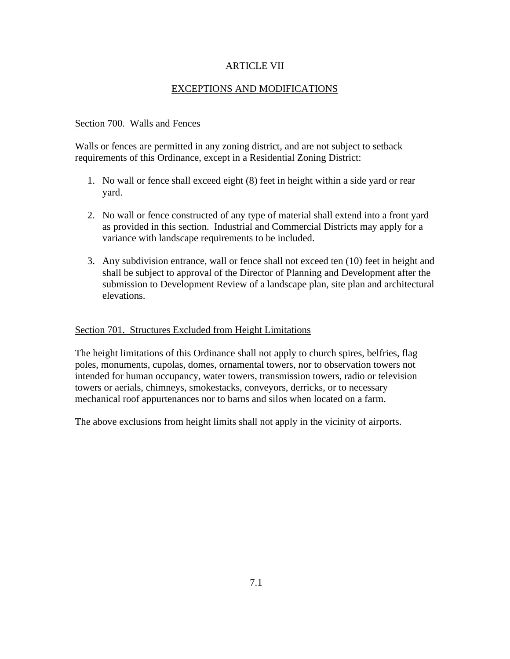# ARTICLE VII

# EXCEPTIONS AND MODIFICATIONS

# Section 700. Walls and Fences

Walls or fences are permitted in any zoning district, and are not subject to setback requirements of this Ordinance, except in a Residential Zoning District:

- 1. No wall or fence shall exceed eight (8) feet in height within a side yard or rear yard.
- 2. No wall or fence constructed of any type of material shall extend into a front yard as provided in this section. Industrial and Commercial Districts may apply for a variance with landscape requirements to be included.
- 3. Any subdivision entrance, wall or fence shall not exceed ten (10) feet in height and shall be subject to approval of the Director of Planning and Development after the submission to Development Review of a landscape plan, site plan and architectural elevations.

## Section 701. Structures Excluded from Height Limitations

The height limitations of this Ordinance shall not apply to church spires, belfries, flag poles, monuments, cupolas, domes, ornamental towers, nor to observation towers not intended for human occupancy, water towers, transmission towers, radio or television towers or aerials, chimneys, smokestacks, conveyors, derricks, or to necessary mechanical roof appurtenances nor to barns and silos when located on a farm.

The above exclusions from height limits shall not apply in the vicinity of airports.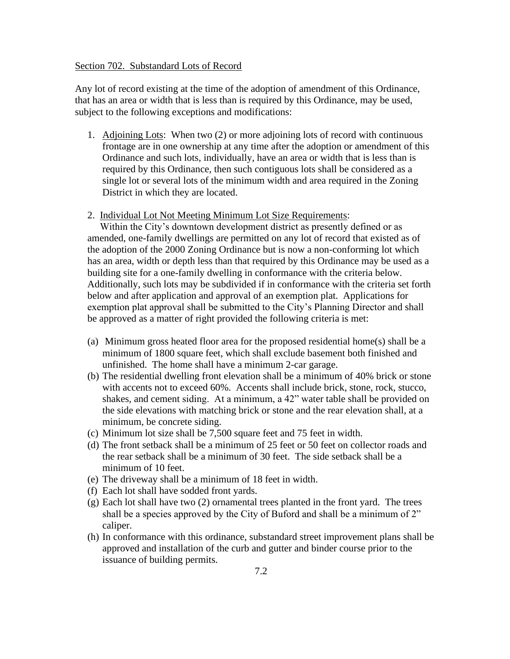#### Section 702. Substandard Lots of Record

Any lot of record existing at the time of the adoption of amendment of this Ordinance, that has an area or width that is less than is required by this Ordinance, may be used, subject to the following exceptions and modifications:

- 1. Adjoining Lots: When two (2) or more adjoining lots of record with continuous frontage are in one ownership at any time after the adoption or amendment of this Ordinance and such lots, individually, have an area or width that is less than is required by this Ordinance, then such contiguous lots shall be considered as a single lot or several lots of the minimum width and area required in the Zoning District in which they are located.
- 2. Individual Lot Not Meeting Minimum Lot Size Requirements:

 Within the City's downtown development district as presently defined or as amended, one-family dwellings are permitted on any lot of record that existed as of the adoption of the 2000 Zoning Ordinance but is now a non-conforming lot which has an area, width or depth less than that required by this Ordinance may be used as a building site for a one-family dwelling in conformance with the criteria below. Additionally, such lots may be subdivided if in conformance with the criteria set forth below and after application and approval of an exemption plat. Applications for exemption plat approval shall be submitted to the City's Planning Director and shall be approved as a matter of right provided the following criteria is met:

- (a) Minimum gross heated floor area for the proposed residential home(s) shall be a minimum of 1800 square feet, which shall exclude basement both finished and unfinished. The home shall have a minimum 2-car garage.
- (b) The residential dwelling front elevation shall be a minimum of 40% brick or stone with accents not to exceed 60%. Accents shall include brick, stone, rock, stucco, shakes, and cement siding. At a minimum, a 42" water table shall be provided on the side elevations with matching brick or stone and the rear elevation shall, at a minimum, be concrete siding.
- (c) Minimum lot size shall be 7,500 square feet and 75 feet in width.
- (d) The front setback shall be a minimum of 25 feet or 50 feet on collector roads and the rear setback shall be a minimum of 30 feet. The side setback shall be a minimum of 10 feet.
- (e) The driveway shall be a minimum of 18 feet in width.
- (f) Each lot shall have sodded front yards.
- (g) Each lot shall have two (2) ornamental trees planted in the front yard. The trees shall be a species approved by the City of Buford and shall be a minimum of 2" caliper.
- (h) In conformance with this ordinance, substandard street improvement plans shall be approved and installation of the curb and gutter and binder course prior to the issuance of building permits.